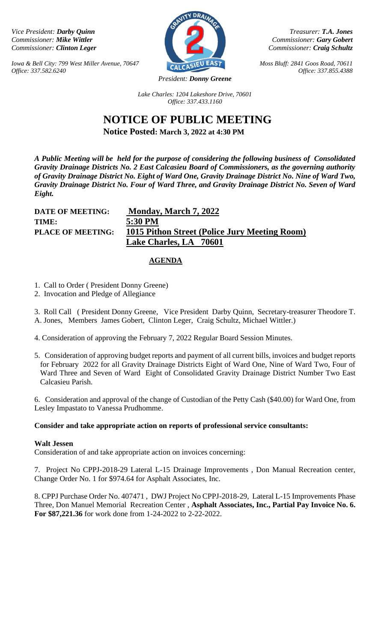*Iowa & Bell City: 799 West Miller Avenue, 70647 CALCASIEU EAST Moss Bluff: 2841 Goos Road, 70611 Office: 337.582.6240 Office: 337.855.4388*



*Vice President: Darby Quinn Treasurer: T.A. Jones Commissioner: Mike Wittler Commissioner: <i>Cary Gobert Commissioner: <i>Cary Gobert Commissioner: <i>Cary Gobert Commissioner: <i>Craig Schultz Commissioner: <i>Craig Schultz Commissioner: <i>Craig Schultz Commissioner: Clinton Leger Commissioner: Craig Schultz*

*Lake Charles: 1204 Lakeshore Drive, 70601 Office: 337.433.1160*

# **NOTICE OF PUBLIC MEETING Notice Posted: March 3, 2022 at 4:30 PM**

*A Public Meeting will be held for the purpose of considering the following business of Consolidated Gravity Drainage Districts No. 2 East Calcasieu Board of Commissioners, as the governing authority of Gravity Drainage District No. Eight of Ward One, Gravity Drainage District No. Nine of Ward Two, Gravity Drainage District No. Four of Ward Three, and Gravity Drainage District No. Seven of Ward* 

*Eight.* 

**TIME: 5:30 PM** 

**DATE OF MEETING: Monday, March 7, 2022 PLACE OF MEETING: 1015 Pithon Street (Police Jury Meeting Room) Lake Charles, LA 70601** 

## **AGENDA**

- 1. Call to Order ( President Donny Greene)
- 2. Invocation and Pledge of Allegiance

3. Roll Call ( President Donny Greene, Vice President Darby Quinn, Secretary-treasurer Theodore T. A. Jones, Members James Gobert, Clinton Leger, Craig Schultz, Michael Wittler.)

- 4. Consideration of approving the February 7, 2022 Regular Board Session Minutes.
- 5. Consideration of approving budget reports and payment of all current bills, invoices and budget reports for February 2022 for all Gravity Drainage Districts Eight of Ward One, Nine of Ward Two, Four of Ward Three and Seven of Ward Eight of Consolidated Gravity Drainage District Number Two East Calcasieu Parish.

6. Consideration and approval of the change of Custodian of the Petty Cash (\$40.00) for Ward One, from Lesley Impastato to Vanessa Prudhomme.

## **Consider and take appropriate action on reports of professional service consultants:**

## **Walt Jessen**

Consideration of and take appropriate action on invoices concerning:

7. Project No CPPJ-2018-29 Lateral L-15 Drainage Improvements , Don Manual Recreation center, Change Order No. 1 for \$974.64 for Asphalt Associates, Inc.

8. CPPJ Purchase Order No. 407471 , DWJ Project No CPPJ-2018-29, Lateral L-15 Improvements Phase Three, Don Manuel Memorial Recreation Center , **Asphalt Associates, Inc., Partial Pay Invoice No. 6. For \$87,221.36** for work done from 1-24-2022 to 2-22-2022.